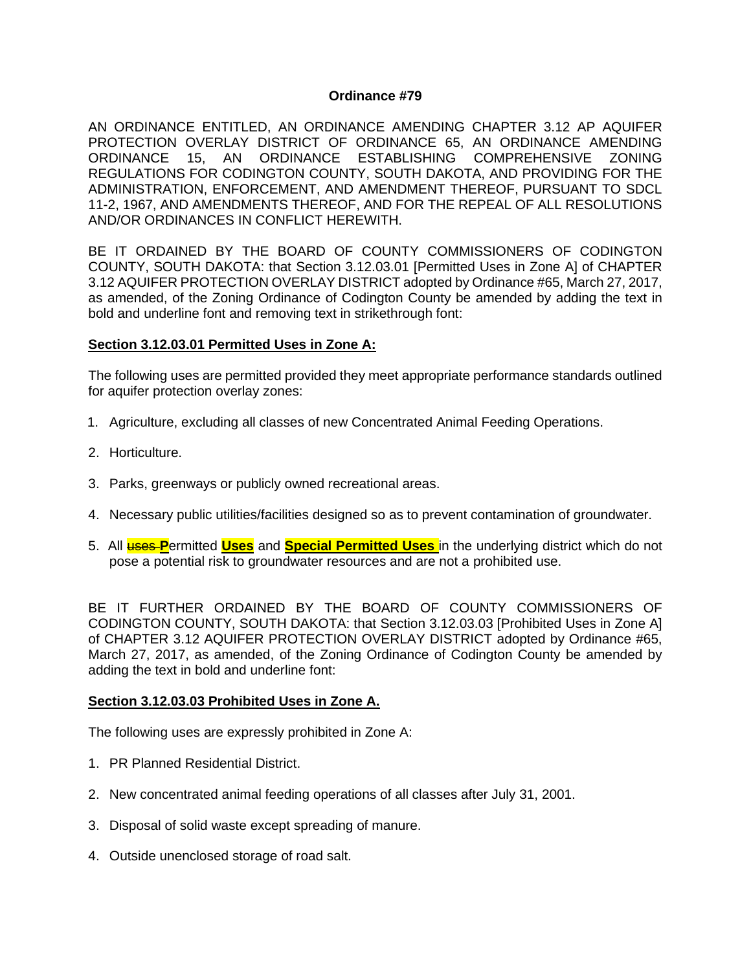### **Ordinance #79**

AN ORDINANCE ENTITLED, AN ORDINANCE AMENDING CHAPTER 3.12 AP AQUIFER PROTECTION OVERLAY DISTRICT OF ORDINANCE 65, AN ORDINANCE AMENDING ORDINANCE 15, AN ORDINANCE ESTABLISHING COMPREHENSIVE ZONING REGULATIONS FOR CODINGTON COUNTY, SOUTH DAKOTA, AND PROVIDING FOR THE ADMINISTRATION, ENFORCEMENT, AND AMENDMENT THEREOF, PURSUANT TO SDCL 11-2, 1967, AND AMENDMENTS THEREOF, AND FOR THE REPEAL OF ALL RESOLUTIONS AND/OR ORDINANCES IN CONFLICT HEREWITH.

BE IT ORDAINED BY THE BOARD OF COUNTY COMMISSIONERS OF CODINGTON COUNTY, SOUTH DAKOTA: that Section 3.12.03.01 [Permitted Uses in Zone A] of CHAPTER 3.12 AQUIFER PROTECTION OVERLAY DISTRICT adopted by Ordinance #65, March 27, 2017, as amended, of the Zoning Ordinance of Codington County be amended by adding the text in bold and underline font and removing text in strikethrough font:

### **Section 3.12.03.01 Permitted Uses in Zone A:**

The following uses are permitted provided they meet appropriate performance standards outlined for aquifer protection overlay zones:

- 1. Agriculture, excluding all classes of new Concentrated Animal Feeding Operations.
- 2. Horticulture.
- 3. Parks, greenways or publicly owned recreational areas.
- 4. Necessary public utilities/facilities designed so as to prevent contamination of groundwater.
- 5. All uses **P**ermitted **Uses** and **Special Permitted Uses** in the underlying district which do not pose a potential risk to groundwater resources and are not a prohibited use.

BE IT FURTHER ORDAINED BY THE BOARD OF COUNTY COMMISSIONERS OF CODINGTON COUNTY, SOUTH DAKOTA: that Section 3.12.03.03 [Prohibited Uses in Zone A] of CHAPTER 3.12 AQUIFER PROTECTION OVERLAY DISTRICT adopted by Ordinance #65, March 27, 2017, as amended, of the Zoning Ordinance of Codington County be amended by adding the text in bold and underline font:

### **Section 3.12.03.03 Prohibited Uses in Zone A.**

The following uses are expressly prohibited in Zone A:

- 1. PR Planned Residential District.
- 2. New concentrated animal feeding operations of all classes after July 31, 2001.
- 3. Disposal of solid waste except spreading of manure.
- 4. Outside unenclosed storage of road salt.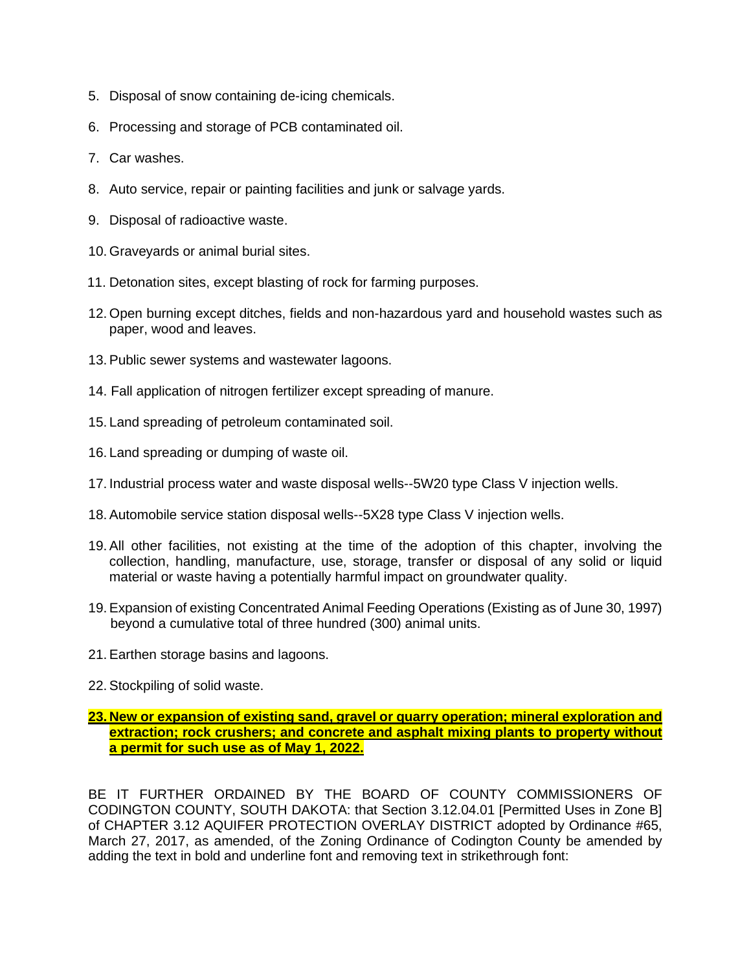- 5. Disposal of snow containing de-icing chemicals.
- 6. Processing and storage of PCB contaminated oil.
- 7. Car washes.
- 8. Auto service, repair or painting facilities and junk or salvage yards.
- 9. Disposal of radioactive waste.
- 10. Graveyards or animal burial sites.
- 11. Detonation sites, except blasting of rock for farming purposes.
- 12. Open burning except ditches, fields and non-hazardous yard and household wastes such as paper, wood and leaves.
- 13. Public sewer systems and wastewater lagoons.
- 14. Fall application of nitrogen fertilizer except spreading of manure.
- 15. Land spreading of petroleum contaminated soil.
- 16. Land spreading or dumping of waste oil.
- 17. Industrial process water and waste disposal wells--5W20 type Class V injection wells.
- 18. Automobile service station disposal wells--5X28 type Class V injection wells.
- 19. All other facilities, not existing at the time of the adoption of this chapter, involving the collection, handling, manufacture, use, storage, transfer or disposal of any solid or liquid material or waste having a potentially harmful impact on groundwater quality.
- 19. Expansion of existing Concentrated Animal Feeding Operations (Existing as of June 30, 1997) beyond a cumulative total of three hundred (300) animal units.
- 21. Earthen storage basins and lagoons.
- 22. Stockpiling of solid waste.

## **23. New or expansion of existing sand, gravel or quarry operation; mineral exploration and extraction; rock crushers; and concrete and asphalt mixing plants to property without a permit for such use as of May 1, 2022.**

BE IT FURTHER ORDAINED BY THE BOARD OF COUNTY COMMISSIONERS OF CODINGTON COUNTY, SOUTH DAKOTA: that Section 3.12.04.01 [Permitted Uses in Zone B] of CHAPTER 3.12 AQUIFER PROTECTION OVERLAY DISTRICT adopted by Ordinance #65, March 27, 2017, as amended, of the Zoning Ordinance of Codington County be amended by adding the text in bold and underline font and removing text in strikethrough font: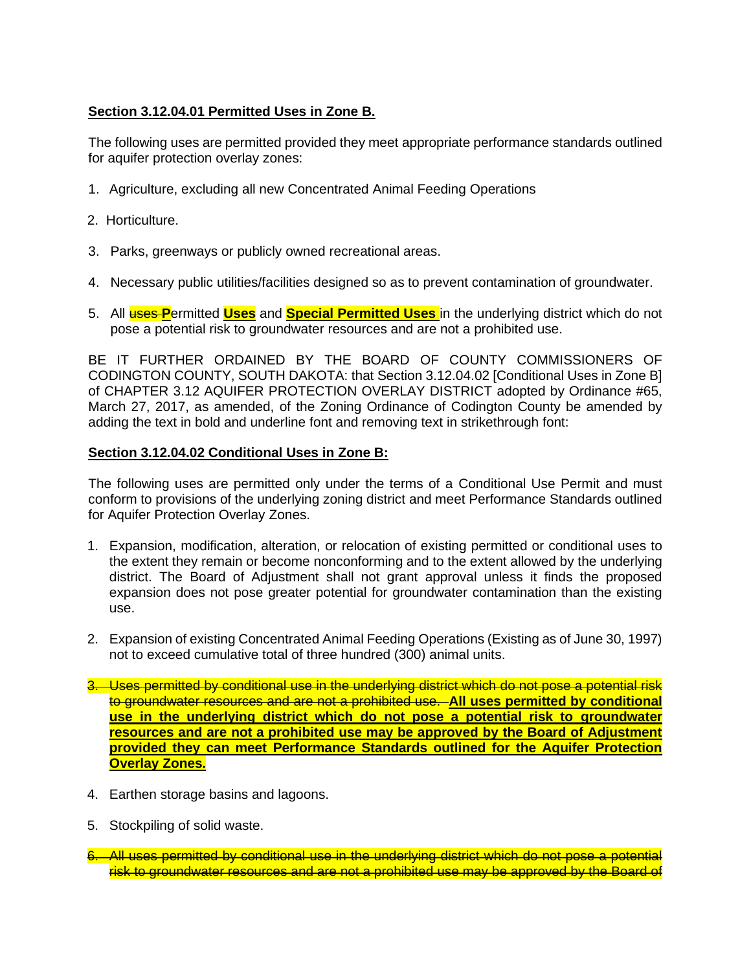# **Section 3.12.04.01 Permitted Uses in Zone B.**

The following uses are permitted provided they meet appropriate performance standards outlined for aquifer protection overlay zones:

- 1. Agriculture, excluding all new Concentrated Animal Feeding Operations
- 2. Horticulture.
- 3. Parks, greenways or publicly owned recreational areas.
- 4. Necessary public utilities/facilities designed so as to prevent contamination of groundwater.
- 5. All uses **P**ermitted **Uses** and **Special Permitted Uses** in the underlying district which do not pose a potential risk to groundwater resources and are not a prohibited use.

BE IT FURTHER ORDAINED BY THE BOARD OF COUNTY COMMISSIONERS OF CODINGTON COUNTY, SOUTH DAKOTA: that Section 3.12.04.02 [Conditional Uses in Zone B] of CHAPTER 3.12 AQUIFER PROTECTION OVERLAY DISTRICT adopted by Ordinance #65, March 27, 2017, as amended, of the Zoning Ordinance of Codington County be amended by adding the text in bold and underline font and removing text in strikethrough font:

## **Section 3.12.04.02 Conditional Uses in Zone B:**

The following uses are permitted only under the terms of a Conditional Use Permit and must conform to provisions of the underlying zoning district and meet Performance Standards outlined for Aquifer Protection Overlay Zones.

- 1. Expansion, modification, alteration, or relocation of existing permitted or conditional uses to the extent they remain or become nonconforming and to the extent allowed by the underlying district. The Board of Adjustment shall not grant approval unless it finds the proposed expansion does not pose greater potential for groundwater contamination than the existing use.
- 2. Expansion of existing Concentrated Animal Feeding Operations (Existing as of June 30, 1997) not to exceed cumulative total of three hundred (300) animal units.
- 3. Uses permitted by conditional use in the underlying district which do not pose a potential risk to groundwater resources and are not a prohibited use. **All uses permitted by conditional use in the underlying district which do not pose a potential risk to groundwater resources and are not a prohibited use may be approved by the Board of Adjustment provided they can meet Performance Standards outlined for the Aquifer Protection Overlay Zones.**
- 4. Earthen storage basins and lagoons.
- 5. Stockpiling of solid waste.
- 6. All uses permitted by conditional use in the underlying district which do not pose a potential risk to groundwater resources and are not a prohibited use may be approved by the Board of